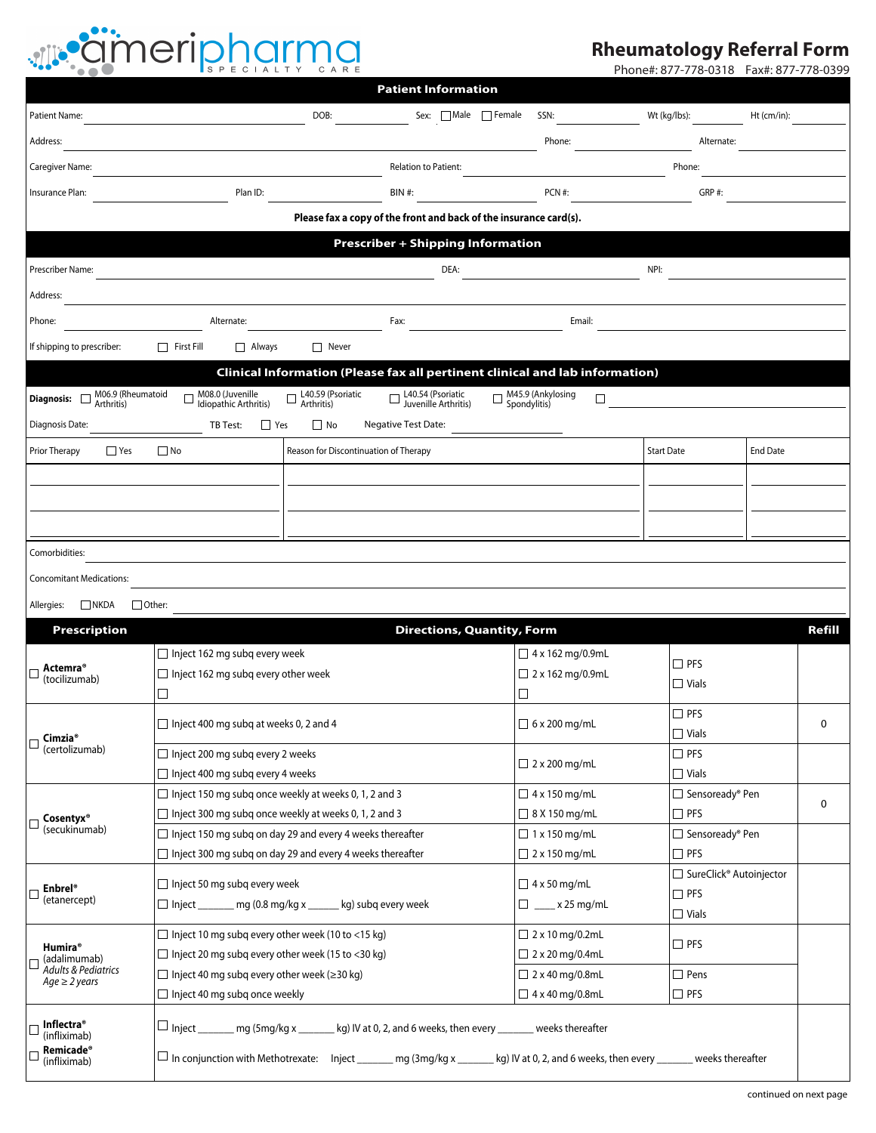## dineripharma

## **Rheumatology Referral Form**

Phone#: 877-778-0318 Fax#: 877-778-0399

|                                                                              |                                                                                                                                                      |                                        | <b>Patient Information</b>                                        |                        |                                               |                   |                                   |                 |        |  |  |
|------------------------------------------------------------------------------|------------------------------------------------------------------------------------------------------------------------------------------------------|----------------------------------------|-------------------------------------------------------------------|------------------------|-----------------------------------------------|-------------------|-----------------------------------|-----------------|--------|--|--|
| Patient Name:                                                                |                                                                                                                                                      | DOB:                                   | Sex: $\Box$ Male $\Box$ Female                                    |                        | SSN:                                          | Wt (kg/lbs):      |                                   | $Ht$ (cm/in):   |        |  |  |
| Address:                                                                     |                                                                                                                                                      |                                        |                                                                   |                        | Phone:                                        |                   | Alternate:                        |                 |        |  |  |
| Caregiver Name:                                                              |                                                                                                                                                      |                                        | <b>Relation to Patient:</b>                                       |                        |                                               | Phone:            |                                   |                 |        |  |  |
| Insurance Plan:                                                              | Plan ID:                                                                                                                                             |                                        | <b>BIN#:</b>                                                      |                        | PCN #:                                        |                   | GRP#:                             |                 |        |  |  |
|                                                                              |                                                                                                                                                      |                                        | Please fax a copy of the front and back of the insurance card(s). |                        |                                               |                   |                                   |                 |        |  |  |
| <b>Prescriber + Shipping Information</b>                                     |                                                                                                                                                      |                                        |                                                                   |                        |                                               |                   |                                   |                 |        |  |  |
| Prescriber Name:                                                             |                                                                                                                                                      |                                        | DEA:                                                              |                        |                                               | NPI:              |                                   |                 |        |  |  |
| Address:                                                                     |                                                                                                                                                      |                                        |                                                                   |                        |                                               |                   |                                   |                 |        |  |  |
| Phone:                                                                       | Alternate:                                                                                                                                           |                                        | Fax:                                                              |                        | Email:                                        |                   |                                   |                 |        |  |  |
| If shipping to prescriber:                                                   | Always<br>$\Box$ First Fill                                                                                                                          | $\Box$ Never                           |                                                                   |                        |                                               |                   |                                   |                 |        |  |  |
| Clinical Information (Please fax all pertinent clinical and lab information) |                                                                                                                                                      |                                        |                                                                   |                        |                                               |                   |                                   |                 |        |  |  |
| M06.9 (Rheumatoid<br>Diagnosis: Dimun.                                       | M08.0 (Juvenille<br>  Idiopathic Arthritis)<br>$\Box$                                                                                                | $\Box$ L40.59 (Psoriatic<br>Arthritis) | $\Box$ L40.54 (Psoriatic<br>Juvenille Arthritis)                  |                        | $\Box$ M45.9 (Ankylosing<br>Spondylitis)<br>П |                   |                                   |                 |        |  |  |
| Diagnosis Date:                                                              | $\Box$ Yes<br>TB Test:                                                                                                                               | $\Box$ No                              | <b>Negative Test Date:</b>                                        |                        |                                               |                   |                                   |                 |        |  |  |
| Reason for Discontinuation of Therapy                                        |                                                                                                                                                      |                                        |                                                                   |                        |                                               | <b>Start Date</b> |                                   | <b>End Date</b> |        |  |  |
| $\Box$ Yes<br>$\Box$ No<br>Prior Therapy                                     |                                                                                                                                                      |                                        |                                                                   |                        |                                               |                   |                                   |                 |        |  |  |
|                                                                              |                                                                                                                                                      |                                        |                                                                   |                        |                                               |                   |                                   |                 |        |  |  |
|                                                                              |                                                                                                                                                      |                                        |                                                                   |                        |                                               |                   |                                   |                 |        |  |  |
|                                                                              |                                                                                                                                                      |                                        |                                                                   |                        |                                               |                   |                                   |                 |        |  |  |
| Comorbidities:                                                               |                                                                                                                                                      |                                        |                                                                   |                        |                                               |                   |                                   |                 |        |  |  |
| <b>Concomitant Medications:</b>                                              |                                                                                                                                                      |                                        |                                                                   |                        |                                               |                   |                                   |                 |        |  |  |
| $\Box$ NKDA<br>$\Box$ Other:<br>Allergies:                                   |                                                                                                                                                      |                                        |                                                                   |                        |                                               |                   |                                   |                 |        |  |  |
| <b>Prescription</b>                                                          |                                                                                                                                                      |                                        | <b>Directions, Quantity, Form</b>                                 |                        |                                               |                   |                                   |                 | Refill |  |  |
| <b>Actemra</b> <sup>®</sup><br>(tocilizumab)                                 | $\Box$ Inject 162 mg subg every week<br>$\Box$ Inject 162 mg subg every other week                                                                   |                                        | $\Box$ 4 x 162 mg/0.9mL<br>2 x 162 mg/0.9mL                       |                        | $\Box$ PFS                                    |                   |                                   |                 |        |  |  |
|                                                                              |                                                                                                                                                      |                                        |                                                                   |                        |                                               | $\Box$ Vials      |                                   |                 |        |  |  |
|                                                                              | $\Box$ Inject 400 mg subq at weeks 0, 2 and 4                                                                                                        |                                        |                                                                   | $\Box$ 6 x 200 mg/mL   |                                               | $\square$ PFS     |                                   | $\mathbf 0$     |        |  |  |
| Cimzia <sup>®</sup><br>Г<br>(certolizumab)                                   |                                                                                                                                                      |                                        |                                                                   |                        |                                               |                   | $\Box$ Vials                      |                 |        |  |  |
|                                                                              | $\Box$ Inject 200 mg subq every 2 weeks<br>$\Box$ Inject 400 mg subg every 4 weeks                                                                   |                                        | $\Box$ 2 x 200 mg/mL                                              |                        | $\Box$ PFS                                    |                   |                                   |                 |        |  |  |
|                                                                              | $\Box$ Inject 150 mg subq once weekly at weeks 0, 1, 2 and 3                                                                                         |                                        |                                                                   |                        | $\Box$ 4 x 150 mg/mL                          |                   | $\Box$ Vials<br>□ Sensoready® Pen |                 |        |  |  |
| Cosentyx <sup>®</sup><br>(secukinumab)                                       | $\Box$ Inject 300 mg subq once weekly at weeks 0, 1, 2 and 3                                                                                         |                                        |                                                                   | $\Box$ 8 X 150 mg/mL   |                                               | $\Box$ PFS        |                                   | 0               |        |  |  |
|                                                                              | $\Box$ Inject 150 mg subg on day 29 and every 4 weeks thereafter                                                                                     |                                        |                                                                   | $\Box$ 1 x 150 mg/mL   |                                               | □ Sensoready® Pen |                                   |                 |        |  |  |
|                                                                              | $\Box$ Inject 300 mg subq on day 29 and every 4 weeks thereafter                                                                                     |                                        | $\Box$ 2 x 150 mg/mL                                              |                        |                                               | $\square$ PFS     |                                   |                 |        |  |  |
| <b>Enbrel</b> ®<br>(etanercept)                                              | $\Box$ Inject 50 mg subq every week                                                                                                                  |                                        |                                                                   |                        | $\Box$ 4 x 50 mg/mL<br>$\Box$ PFS             |                   | □ SureClick® Autoinjector         |                 |        |  |  |
|                                                                              | $\Box$ Inject _______ mg (0.8 mg/kg x ______ kg) subq every week                                                                                     | $x 25$ mg/mL<br>Ц                      |                                                                   | $\Box$ Vials           |                                               |                   |                                   |                 |        |  |  |
| <b>Humira</b> ®<br>(adalimumab)<br>Adults & Pediatrics<br>$Age \geq 2 years$ | $\Box$ Inject 10 mg subq every other week (10 to <15 kg)                                                                                             |                                        |                                                                   |                        | $\Box$ 2 x 10 mg/0.2mL                        |                   | $\Box$ PFS                        |                 |        |  |  |
|                                                                              | $\Box$ Inject 20 mg subg every other week (15 to <30 kg)                                                                                             |                                        |                                                                   | $\Box$ 2 x 20 mg/0.4mL |                                               |                   |                                   |                 |        |  |  |
|                                                                              | $\Box$ Inject 40 mg subq every other week ( $\geq$ 30 kg)                                                                                            |                                        |                                                                   | $\Box$ 2 x 40 mg/0.8mL | $\Box$ Pens                                   |                   |                                   |                 |        |  |  |
|                                                                              | $\Box$ Inject 40 mg subq once weekly                                                                                                                 |                                        |                                                                   |                        | $\Box$ 4 x 40 mg/0.8mL                        | $\square$ PFS     |                                   |                 |        |  |  |
| <b>Inflectra</b> ®<br>(infliximab)                                           | $\sqcup$ Inject _______ mg (5mg/kg x _______ kg) IV at 0, 2, and 6 weeks, then every _______ weeks thereafter                                        |                                        |                                                                   |                        |                                               |                   |                                   |                 |        |  |  |
| <b>Remicade®</b><br>(infliximab)                                             | $\Box$ In conjunction with Methotrexate:     Inject ________ mg (3mg/kg x ________ kg) IV at 0, 2, and 6 weeks, then every ________ weeks thereafter |                                        |                                                                   |                        |                                               |                   |                                   |                 |        |  |  |